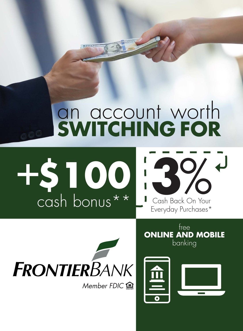## an account worth **SWITCHING FOR**



Cash Back On Your Everyday Purchases\*



free **ONLINE AND MOBILE** banking